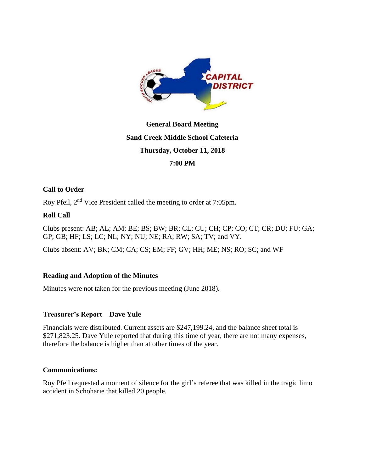

# **General Board Meeting Sand Creek Middle School Cafeteria Thursday, October 11, 2018 7:00 PM**

# **Call to Order**

Roy Pfeil, 2nd Vice President called the meeting to order at 7:05pm.

## **Roll Call**

Clubs present: AB; AL; AM; BE; BS; BW; BR; CL; CU; CH; CP; CO; CT; CR; DU; FU; GA; GP; GB; HF; LS; LC; NL; NY; NU; NE; RA; RW; SA; TV; and VY.

Clubs absent: AV; BK; CM; CA; CS; EM; FF; GV; HH; ME; NS; RO; SC; and WF

# **Reading and Adoption of the Minutes**

Minutes were not taken for the previous meeting (June 2018).

## **Treasurer's Report – Dave Yule**

Financials were distributed. Current assets are \$247,199.24, and the balance sheet total is \$271,823.25. Dave Yule reported that during this time of year, there are not many expenses, therefore the balance is higher than at other times of the year.

## **Communications:**

Roy Pfeil requested a moment of silence for the girl's referee that was killed in the tragic limo accident in Schoharie that killed 20 people.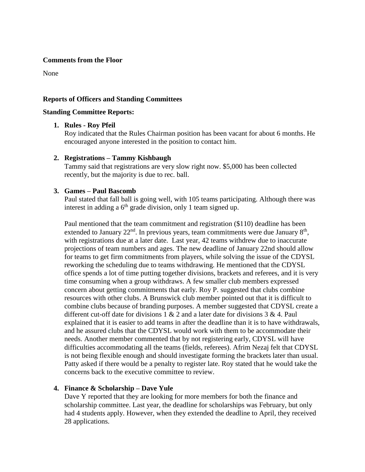#### **Comments from the Floor**

None

## **Reports of Officers and Standing Committees**

#### **Standing Committee Reports:**

## **1. Rules - Roy Pfeil**

Roy indicated that the Rules Chairman position has been vacant for about 6 months. He encouraged anyone interested in the position to contact him.

## **2. Registrations – Tammy Kishbaugh**

Tammy said that registrations are very slow right now. \$5,000 has been collected recently, but the majority is due to rec. ball.

## **3. Games – Paul Bascomb**

Paul stated that fall ball is going well, with 105 teams participating. Although there was interest in adding a  $6<sup>th</sup>$  grade division, only 1 team signed up.

Paul mentioned that the team commitment and registration (\$110) deadline has been extended to January  $22<sup>nd</sup>$ . In previous years, team commitments were due January  $8<sup>th</sup>$ , with registrations due at a later date. Last year, 42 teams withdrew due to inaccurate projections of team numbers and ages. The new deadline of January 22nd should allow for teams to get firm commitments from players, while solving the issue of the CDYSL reworking the scheduling due to teams withdrawing. He mentioned that the CDYSL office spends a lot of time putting together divisions, brackets and referees, and it is very time consuming when a group withdraws. A few smaller club members expressed concern about getting commitments that early. Roy P. suggested that clubs combine resources with other clubs. A Brunswick club member pointed out that it is difficult to combine clubs because of branding purposes. A member suggested that CDYSL create a different cut-off date for divisions  $1 \& 2$  and a later date for divisions  $3 \& 4$ . Paul explained that it is easier to add teams in after the deadline than it is to have withdrawals, and he assured clubs that the CDYSL would work with them to be accommodate their needs. Another member commented that by not registering early, CDYSL will have difficulties accommodating all the teams (fields, referees). Afrim Nezaj felt that CDYSL is not being flexible enough and should investigate forming the brackets later than usual. Patty asked if there would be a penalty to register late. Roy stated that he would take the concerns back to the executive committee to review.

## **4. Finance & Scholarship – Dave Yule**

Dave Y reported that they are looking for more members for both the finance and scholarship committee. Last year, the deadline for scholarships was February, but only had 4 students apply. However, when they extended the deadline to April, they received 28 applications.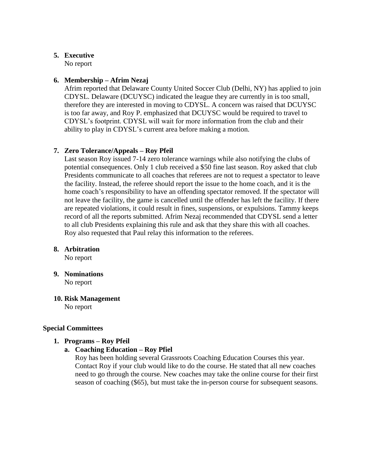## **5. Executive**

No report

# **6. Membership – Afrim Nezaj**

Afrim reported that Delaware County United Soccer Club (Delhi, NY) has applied to join CDYSL. Delaware (DCUYSC) indicated the league they are currently in is too small, therefore they are interested in moving to CDYSL. A concern was raised that DCUYSC is too far away, and Roy P. emphasized that DCUYSC would be required to travel to CDYSL's footprint. CDYSL will wait for more information from the club and their ability to play in CDYSL's current area before making a motion.

# **7. Zero Tolerance/Appeals – Roy Pfeil**

Last season Roy issued 7-14 zero tolerance warnings while also notifying the clubs of potential consequences. Only 1 club received a \$50 fine last season. Roy asked that club Presidents communicate to all coaches that referees are not to request a spectator to leave the facility. Instead, the referee should report the issue to the home coach, and it is the home coach's responsibility to have an offending spectator removed. If the spectator will not leave the facility, the game is cancelled until the offender has left the facility. If there are repeated violations, it could result in fines, suspensions, or expulsions. Tammy keeps record of all the reports submitted. Afrim Nezaj recommended that CDYSL send a letter to all club Presidents explaining this rule and ask that they share this with all coaches. Roy also requested that Paul relay this information to the referees.

# **8. Arbitration**

No report

- **9. Nominations** No report
- **10. Risk Management** No report

# **Special Committees**

# **1. Programs – Roy Pfeil**

**a. Coaching Education – Roy Pfiel**

Roy has been holding several Grassroots Coaching Education Courses this year. Contact Roy if your club would like to do the course. He stated that all new coaches need to go through the course. New coaches may take the online course for their first season of coaching (\$65), but must take the in-person course for subsequent seasons.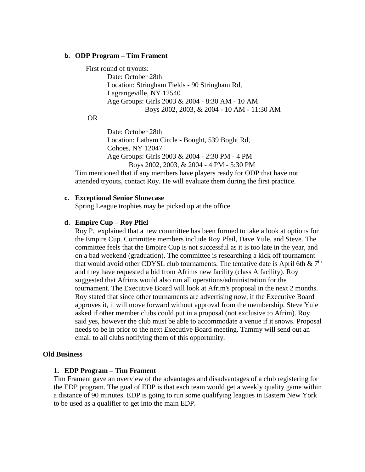#### **b. ODP Program – Tim Frament**

#### First round of tryouts:

Date: October 28th Location: Stringham Fields - 90 Stringham Rd, Lagrangeville, NY 12540 Age Groups: Girls 2003 & 2004 - 8:30 AM - 10 AM Boys 2002, 2003, & 2004 - 10 AM - 11:30 AM

## OR

Date: October 28th Location: Latham Circle - Bought, 539 Boght Rd, Cohoes, NY 12047 Age Groups: Girls 2003 & 2004 - 2:30 PM - 4 PM Boys 2002, 2003, & 2004 - 4 PM - 5:30 PM

Tim mentioned that if any members have players ready for ODP that have not attended tryouts, contact Roy. He will evaluate them during the first practice.

## **c. Exceptional Senior Showcase**

Spring League trophies may be picked up at the office

## **d. Empire Cup – Roy Pfiel**

Roy P. explained that a new committee has been formed to take a look at options for the Empire Cup. Committee members include Roy Pfeil, Dave Yule, and Steve. The committee feels that the Empire Cup is not successful as it is too late in the year, and on a bad weekend (graduation). The committee is researching a kick off tournament that would avoid other CDYSL club tournaments. The tentative date is April 6th &  $7<sup>th</sup>$ and they have requested a bid from Afrims new facility (class A facility). Roy suggested that Afrims would also run all operations/administration for the tournament. The Executive Board will look at Afrim's proposal in the next 2 months. Roy stated that since other tournaments are advertising now, if the Executive Board approves it, it will move forward without approval from the membership. Steve Yule asked if other member clubs could put in a proposal (not exclusive to Afrim). Roy said yes, however the club must be able to accommodate a venue if it snows. Proposal needs to be in prior to the next Executive Board meeting. Tammy will send out an email to all clubs notifying them of this opportunity.

#### **Old Business**

#### **1. EDP Program – Tim Frament**

Tim Frament gave an overview of the advantages and disadvantages of a club registering for the EDP program. The goal of EDP is that each team would get a weekly quality game within a distance of 90 minutes. EDP is going to run some qualifying leagues in Eastern New York to be used as a qualifier to get into the main EDP.